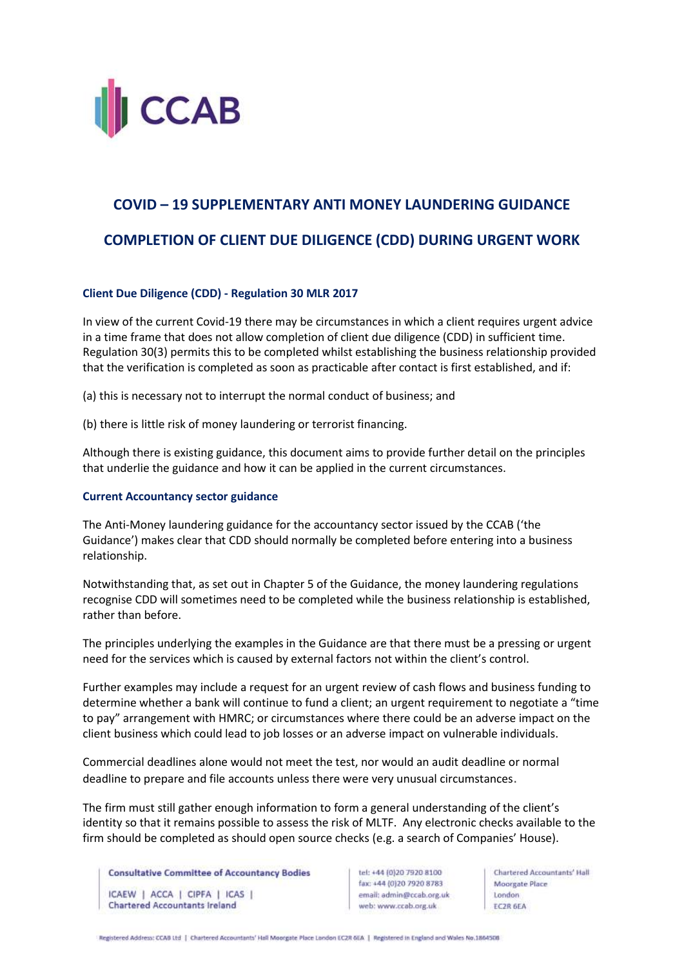

## **COVID – 19 SUPPLEMENTARY ANTI MONEY LAUNDERING GUIDANCE**

## **COMPLETION OF CLIENT DUE DILIGENCE (CDD) DURING URGENT WORK**

## **Client Due Diligence (CDD) - Regulation 30 MLR 2017**

In view of the current Covid-19 there may be circumstances in which a client requires urgent advice in a time frame that does not allow completion of client due diligence (CDD) in sufficient time. Regulation 30(3) permits this to be completed whilst establishing the business relationship provided that the verification is completed as soon as practicable after contact is first established, and if:

(a) this is necessary not to interrupt the normal conduct of business; and

(b) there is little risk of money laundering or terrorist financing.

Although there is existing guidance, this document aims to provide further detail on the principles that underlie the guidance and how it can be applied in the current circumstances.

## **Current Accountancy sector guidance**

The Anti-Money laundering guidance for the accountancy sector issued by the CCAB ('the Guidance') makes clear that CDD should normally be completed before entering into a business relationship.

Notwithstanding that, as set out in Chapter 5 of the Guidance, the money laundering regulations recognise CDD will sometimes need to be completed while the business relationship is established, rather than before.

The principles underlying the examples in the Guidance are that there must be a pressing or urgent need for the services which is caused by external factors not within the client's control.

Further examples may include a request for an urgent review of cash flows and business funding to determine whether a bank will continue to fund a client; an urgent requirement to negotiate a "time to pay" arrangement with HMRC; or circumstances where there could be an adverse impact on the client business which could lead to job losses or an adverse impact on vulnerable individuals.

Commercial deadlines alone would not meet the test, nor would an audit deadline or normal deadline to prepare and file accounts unless there were very unusual circumstances.

The firm must still gather enough information to form a general understanding of the client's identity so that it remains possible to assess the risk of MLTF. Any electronic checks available to the firm should be completed as should open source checks (e.g. a search of Companies' House).

**Consultative Committee of Accountancy Bodies** ICAEW | ACCA | CIPFA | ICAS | **Chartered Accountants Ireland** 

tel: +44 (0)20 7920 8100 fax: +44 (0)20 7920 8783 email: admin@ccab.org.uk web: www.ccab.org.uk

**Chartered Accountants' Hall** Moorgate Place **London** EC2R 6EA